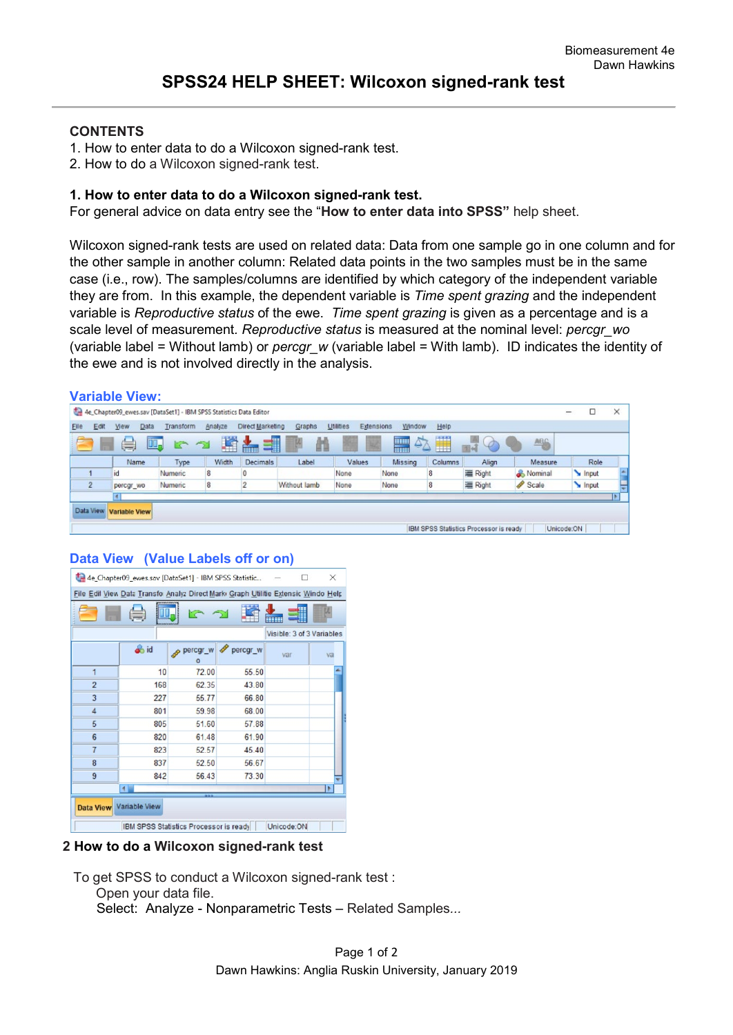## **CONTENTS**

- 1. How to enter data to do a Wilcoxon signed-rank test.
- 2. How to do a Wilcoxon signed-rank test.

## **1. How to enter data to do a Wilcoxon signed-rank test.**

For general advice on data entry see the "**How to enter data into SPSS"** help sheet.

Wilcoxon signed-rank tests are used on related data: Data from one sample go in one column and for the other sample in another column: Related data points in the two samples must be in the same case (i.e., row). The samples/columns are identified by which category of the independent variable they are from. In this example, the dependent variable is *Time spent grazing* and the independent variable is *Reproductive status* of the ewe. *Time spent grazing* is given as a percentage and is a scale level of measurement*. Reproductive status* is measured at the nominal level: *percgr\_wo* (variable label = Without lamb) or *percgr\_w* (variable label = With lamb). ID indicates the identity of the ewe and is not involved directly in the analysis.

|                | <b>Variable View:</b>                                              |                      |         |                                                                                                                                                                                                                                      |              |                         |               |         |                                        |                   |            |       |          |
|----------------|--------------------------------------------------------------------|----------------------|---------|--------------------------------------------------------------------------------------------------------------------------------------------------------------------------------------------------------------------------------------|--------------|-------------------------|---------------|---------|----------------------------------------|-------------------|------------|-------|----------|
|                | 4e_Chapter09_ewes.sav [DataSet1] - IBM SPSS Statistics Data Editor |                      |         |                                                                                                                                                                                                                                      |              |                         |               |         |                                        |                   | -          | □     | $\times$ |
| Edit<br>Elle   | Data<br><b>View</b>                                                | Transform            | Analyze | Direct Marketing                                                                                                                                                                                                                     | Graphs       | Utilities<br>Extensions | Window        | Help    |                                        |                   |            |       |          |
| - 13           | II.<br>U                                                           | こうしょう こうしゃ こうしゃ こうしゃ | 瓂       | 51<br>i de la partie de la partie de la partie de la partie de la partie de la partie de la partie de la partie de la partie de la partie de la partie de la partie de la partie de la partie de la partie de la partie de la partie | 顔            | 14                      | $\Delta$<br>鼺 | H       | $\circledcirc$                         | <b>ABG</b>        |            |       |          |
|                | Name                                                               | Type                 | Width   | Decimals                                                                                                                                                                                                                             | Label        | Values                  | Missing       | Columns | Align                                  | Measure           |            | Role  |          |
|                | 1d                                                                 | <b>Numeric</b>       | 8       |                                                                                                                                                                                                                                      |              | None                    | None          | 8       | 三 Right                                | & Nominal         |            | Input |          |
| $\overline{2}$ | percgr wo                                                          | Numeric              | 8       |                                                                                                                                                                                                                                      | Without lamb | None                    | None          | 8       | 三 Right                                | Scale <sub></sub> |            | Input |          |
|                |                                                                    |                      |         |                                                                                                                                                                                                                                      |              |                         |               |         |                                        |                   |            |       |          |
| Data View      | <b>Variable View</b>                                               |                      |         |                                                                                                                                                                                                                                      |              |                         |               |         |                                        |                   |            |       |          |
|                |                                                                    |                      |         |                                                                                                                                                                                                                                      |              |                         |               |         | IBM SPSS Statistics Processor is ready |                   | Unicode:ON |       |          |

## **Data View (Value Labels off or on)**

|                | 4e_Chapter09_ewes.sav [DataSet1] - IBM SPSS Statistic                             |                                        |          |                           | X  |
|----------------|-----------------------------------------------------------------------------------|----------------------------------------|----------|---------------------------|----|
|                | File Edil View Data Transfo Analyz Direct Mark Graph Utilitie Extensic Windo Help |                                        |          |                           |    |
|                |                                                                                   |                                        |          |                           |    |
|                |                                                                                   |                                        |          | Visible: 3 of 3 Variables |    |
|                | o id                                                                              | percgr_w<br>$\circ$                    | percgr_w | var                       | va |
| $\overline{1}$ | 10                                                                                | 72.00                                  | 55.50    |                           |    |
| $\overline{2}$ | 168                                                                               | 62.35                                  | 43.80    |                           |    |
| 3              | 227                                                                               | 55.77                                  | 66.80    |                           |    |
| $\overline{4}$ | 801                                                                               | 59.98                                  | 68.00    |                           |    |
| 5              | 805                                                                               | 51.60                                  | 57.88    |                           |    |
| 6              | 820                                                                               | 61.48                                  | 61.90    |                           |    |
| $\overline{7}$ | 823                                                                               | 52.57                                  | 45 40    |                           |    |
| 8              | 837                                                                               | 52.50                                  | 56.67    |                           |    |
| 9              | 842                                                                               | 56.43                                  | 73.30    |                           |    |
|                | 410                                                                               |                                        |          |                           |    |
|                | Data View Variable View                                                           |                                        |          |                           |    |
|                |                                                                                   | IBM SPSS Statistics Processor is ready |          | Unicode:ON                |    |

## **2 How to do a Wilcoxon signed-rank test**

To get SPSS to conduct a Wilcoxon signed-rank test :

Open your data file.

Select: Analyze - Nonparametric Tests – Related Samples*...*